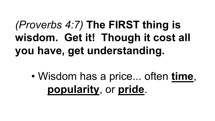## *(Proverbs 4:7)* **The FIRST thing is wisdom. Get it! Though it cost all you have, get understanding.**

• Wisdom has a price... often **time**, **popularity**, or **pride**.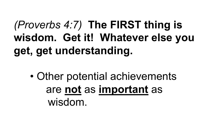## *(Proverbs 4:7)* **The FIRST thing is wisdom. Get it! Whatever else you get, get understanding.**

• Other potential achievements are **not** as **important** as wisdom.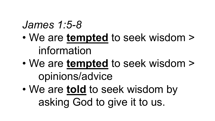#### *James 1:5-8*

- We are **tempted** to seek wisdom > information
- We are **tempted** to seek wisdom > opinions/advice
- We are **told** to seek wisdom by asking God to give it to us.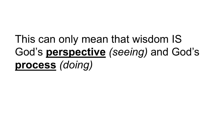# This can only mean that wisdom IS God's **perspective** *(seeing)* and God's **process** *(doing)*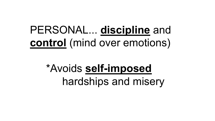#### PERSONAL... **discipline** and **control** (mind over emotions)

## \*Avoids **self-imposed** hardships and misery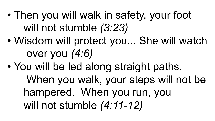- Then you will walk in safety, your foot will not stumble *(3:23)*
- Wisdom will protect you... She will watch over you *(4:6)*
- You will be led along straight paths. When you walk, your steps will not be hampered. When you run, you will not stumble *(4:11-12)*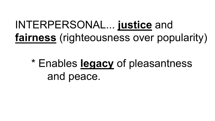#### INTERPERSONAL... **justice** and **fairness** (righteousness over popularity)

\* Enables **legacy** of pleasantness and peace.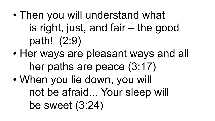- Then you will understand what is right, just, and fair – the good path! (2:9)
- Her ways are pleasant ways and all her paths are peace (3:17)
- When you lie down, you will not be afraid... Your sleep will be sweet (3:24)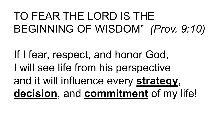## TO FEAR THE LORD IS THE BEGINNING OF WISDOM" *(Prov. 9:10)*

If I fear, respect, and honor God, I will see life from his perspective and it will influence every **strategy**, **decision**, and **commitment** of my life!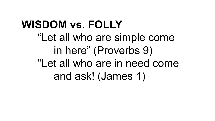## **WISDOM vs. FOLLY** "Let all who are simple come in here" (Proverbs 9) "Let all who are in need come and ask! (James 1)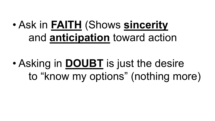#### • Ask in **FAITH** (Shows **sincerity** and **anticipation** toward action

• Asking in **DOUBT** is just the desire to "know my options" (nothing more)